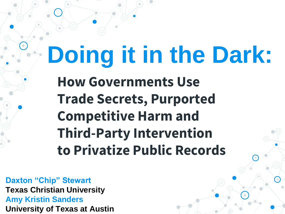# **Doing it in the Dark:**

**How Governments Use Trade Secrets, Purported Competitive Harm and Third-Party Intervention to Privatize Public Records**

**Daxton "Chip" Stewart Texas Christian University Amy Kristin Sanders University of Texas at Austin**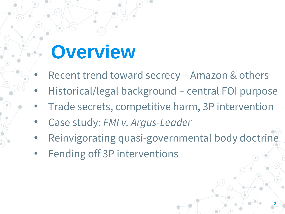## **Overview**

- Recent trend toward secrecy Amazon & others
- Historical/legal background central FOI purpose
- Trade secrets, competitive harm, 3P intervention
- Case study: *FMI v. Argus-Leader*
- Reinvigorating quasi-governmental body doctrine
- Fending off 3P interventions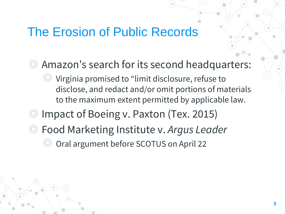### The Erosion of Public Records

- ◎ Amazon's search for its second headquarters:
	- Virginia promised to "limit disclosure, refuse to disclose, and redact and/or omit portions of materials to the maximum extent permitted by applicable law.
- Impact of Boeing v. Paxton (Tex. 2015)
- ◎ Food Marketing Institute v. *Argus Leader*
	- Oral argument before SCOTUS on April 22

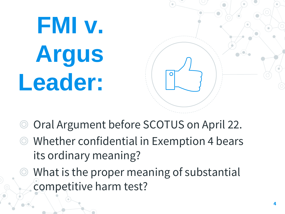# **FMI v. Argus Leader:**



- ◎ Oral Argument before SCOTUS on April 22.
- ◎ Whether confidential in Exemption 4 bears its ordinary meaning?
- ◎ What is the proper meaning of substantial competitive harm test?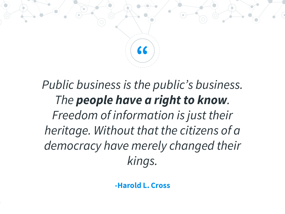

## *Public business is the public's business. The people have a right to know. Freedom of information is just their heritage. Without that the citizens of a democracy have merely changed their kings.*

**-Harold L. Cross**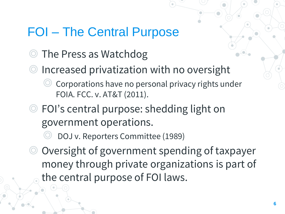### FOI – The Central Purpose

- ◎ The Press as Watchdog
- Increased privatization with no oversight Corporations have no personal privacy rights under FOIA. FCC. v. AT&T (2011).
- ◎ FOI's central purpose: shedding light on government operations.
	- DOJ v. Reporters Committee (1989)
- ◎ Oversight of government spending of taxpayer money through private organizations is part of the central purpose of FOI laws.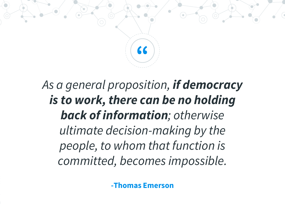

## *As a general proposition, if democracy is to work, there can be no holding back of information; otherwise ultimate decision-making by the people, to whom that function is committed, becomes impossible.*

**-Thomas Emerson**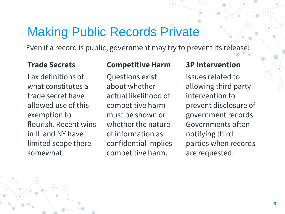### Making Public Records Private

Even if a record is public, government may try to prevent its release:

#### **Trade Secrets**

Lax definitions of what constitutes a trade secret have allowed use of this exemption to flourish. Recent wins in IL and NY have limited scope there somewhat.

#### **Competitive Harm**

Questions exist about whether actual likelihood of competitive harm must be shown or whether the nature of information as confidential implies competitive harm.

#### **3P Intervention**

Issues related to allowing third party intervention to prevent disclosure of government records. Governments often notifying third parties when records are requested.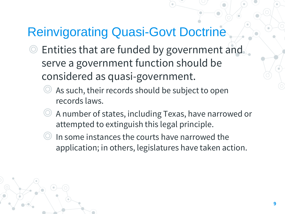## Reinvigorating Quasi-Govt Doctrine

- ◎ Entities that are funded by government and serve a government function should be considered as quasi-government.
	- As such, their records should be subject to open records laws.
	- ◎ A number of states, including Texas, have narrowed or attempted to extinguish this legal principle.
	- ◎ In some instances the courts have narrowed the application; in others, legislatures have taken action.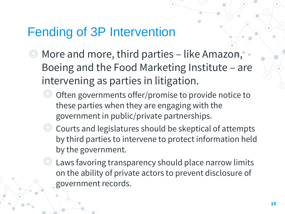### Fending of 3P Intervention

- ◎ More and more, third parties like Amazon, Boeing and the Food Marketing Institute – are intervening as parties in litigation.
	- Often governments offer/promise to provide notice to these parties when they are engaging with the government in public/private partnerships.
	- ◎ Courts and legislatures should be skeptical of attempts by third parties to intervene to protect information held by the government.
	- Laws favoring transparency should place narrow limits on the ability of private actors to prevent disclosure of government records.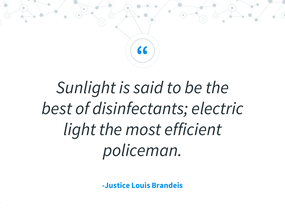

## *Sunlight is said to be the best of disinfectants; electric light the most efficient policeman.*

**-Justice Louis Brandeis**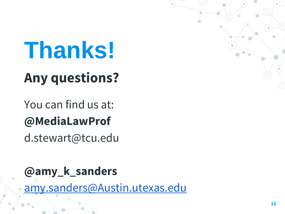## **Thanks! Any questions?**

## You can find us at: **@MediaLawProf**

d.stewart@tcu.edu

**@amy\_k\_sanders** [amy.sanders@Austin.utexas.edu](mailto:amy.sanders@Austin.utexas.edu)